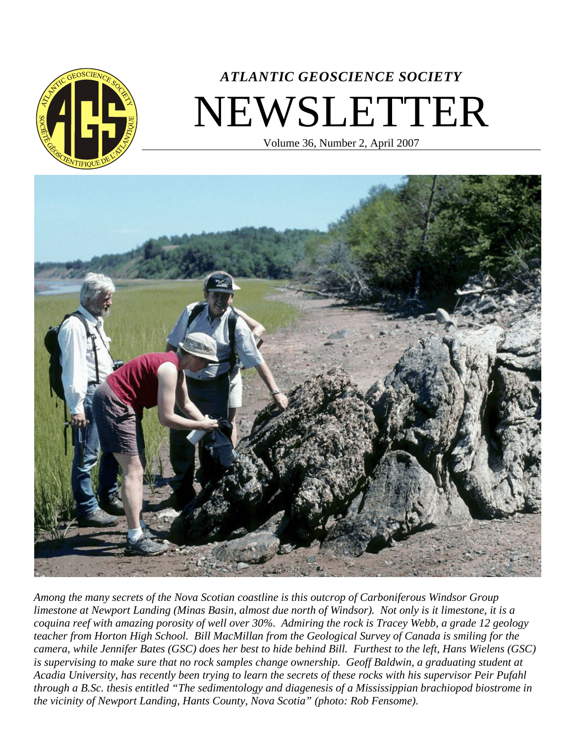

# *ATLANTIC GEOSCIENCE SOCIETY* NEWSLETTER

Volume 36, Number 2, April 2007



*Among the many secrets of the Nova Scotian coastline is this outcrop of Carboniferous Windsor Group limestone at Newport Landing (Minas Basin, almost due north of Windsor). Not only is it limestone, it is a coquina reef with amazing porosity of well over 30%. Admiring the rock is Tracey Webb, a grade 12 geology teacher from Horton High School. Bill MacMillan from the Geological Survey of Canada is smiling for the camera, while Jennifer Bates (GSC) does her best to hide behind Bill. Furthest to the left, Hans Wielens (GSC) is supervising to make sure that no rock samples change ownership. Geoff Baldwin, a graduating student at Acadia University, has recently been trying to learn the secrets of these rocks with his supervisor Peir Pufahl through a B.Sc. thesis entitled "The sedimentology and diagenesis of a Mississippian brachiopod biostrome in the vicinity of Newport Landing, Hants County, Nova Scotia" (photo: Rob Fensome)*.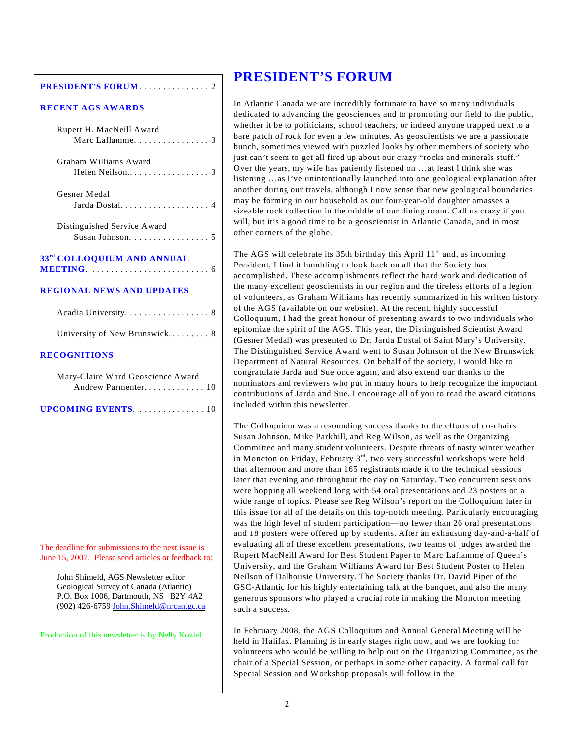#### **PRESIDENT'S FORUM**. .... .... .... . . 2

## **RECENT AGS AWARDS**

| Rupert H. MacNeill Award<br>Marc Laflamme. 3                                                                                                                     |
|------------------------------------------------------------------------------------------------------------------------------------------------------------------|
| Graham Williams Award                                                                                                                                            |
| Gesner Medal<br>Jarda Dostal 4                                                                                                                                   |
| Distinguished Service Award<br>Susan Johnson. 5                                                                                                                  |
| 33 <sup>rd</sup> COLLOQUIUM AND ANNUAL                                                                                                                           |
| <b>REGIONAL NEWS AND UPDATES</b>                                                                                                                                 |
| Acadia University. 8                                                                                                                                             |
| University of New Brunswick 8                                                                                                                                    |
| RECOGNITIONS                                                                                                                                                     |
| Mary-Claire Ward Geoscience Award<br>Andrew Parmenter 10                                                                                                         |
|                                                                                                                                                                  |
|                                                                                                                                                                  |
|                                                                                                                                                                  |
|                                                                                                                                                                  |
|                                                                                                                                                                  |
|                                                                                                                                                                  |
|                                                                                                                                                                  |
| The deadline for submissions to the next issue is<br>June 15, 2007. Please send articles or feedback to:                                                         |
| John Shimeld, AGS Newsletter editor<br>Geological Survey of Canada (Atlantic)<br>P.O. Box 1006, Dartmouth, NS B2Y 4A2<br>(902) 426-6759 John.Shimeld@nrcan.gc.ca |
| Production of this newsletter is by Nelly Koziel.                                                                                                                |

## **PRESIDENT'S FORUM**

In Atlantic Canada we are incredibly fortunate to have so many individuals dedicated to advancing the geosciences and to promoting our field to the public, whether it be to politicians, school teachers, or indeed anyone trapped next to a bare patch of rock for even a few minutes. As geoscientists we are a passionate bunch, sometimes viewed with puzzled looks by other members of society who just can't seem to get all fired up about our crazy "rocks and minerals stuff." Over the years, my wife has patiently listened on …at least I think she was listening …as I've unintentionally launched into one geological explanation after another during our travels, although I now sense that new geological boundaries may be forming in our household as our four-year-old daughter amasses a sizeable rock collection in the middle of our dining room. Call us crazy if you will, but it's a good time to be a geoscientist in Atlantic Canada, and in most other corners of the globe.

The AGS will celebrate its 35th birthday this April  $11<sup>th</sup>$  and, as incoming President, I find it humbling to look back on all that the Society has accomplished. These accomplishments reflect the hard work and dedication of the many excellent geoscientists in our region and the tireless efforts of a legion of volunteers, as Graham Williams has recently summarized in his written history of the AGS (available on our website). At the recent, highly successful Colloquium, I had the great honour of presenting awards to two individuals who epitomize the spirit of the AGS. This year, the Distinguished Scientist Award (Gesner Medal) was presented to Dr. Jarda Dostal of Saint Mary's University. The Distinguished Service Award went to Susan Johnson of the New Brunswick Department of Natural Resources. On behalf of the society, I would like to congratulate Jarda and Sue once again, and also extend our thanks to the nominators and reviewers who put in many hours to help recognize the important contributions of Jarda and Sue. I encourage all of you to read the award citations included within this newsletter.

The Colloquium was a resounding success thanks to the efforts of co-chairs Susan Johnson, Mike Parkhill, and Reg Wilson, as well as the Organizing Committee and many student volunteers. Despite threats of nasty winter weather in Moncton on Friday, February  $3^{rd}$ , two very successful workshops were held that afternoon and more than 165 registrants made it to the technical sessions later that evening and throughout the day on Saturday. Two concurrent sessions were hopping all weekend long with 54 oral presentations and 23 posters on a wide range of topics. Please see Reg Wilson's report on the Colloquium later in this issue for all of the details on this top-notch meeting. Particularly encouraging was the high level of student participation—no fewer than 26 oral presentations and 18 posters were offered up by students. After an exhausting day-and-a-half of evaluating all of these excellent presentations, two teams of judges awarded the Rupert MacNeill Award for Best Student Paper to Marc Laflamme of Queen's University, and the Graham Williams Award for Best Student Poster to Helen Neilson of Dalhousie University. The Society thanks Dr. David Piper of the GSC-Atlantic for his highly entertaining talk at the banquet, and also the many generous sponsors who played a crucial role in making the Moncton meeting such a success.

In February 2008, the AGS Colloquium and Annual General Meeting will be held in Halifax. Planning is in early stages right now, and we are looking for volunteers who would be willing to help out on the Organizing Committee, as the chair of a Special Session, or perhaps in some other capacity. A formal call for Special Session and Workshop proposals will follow in the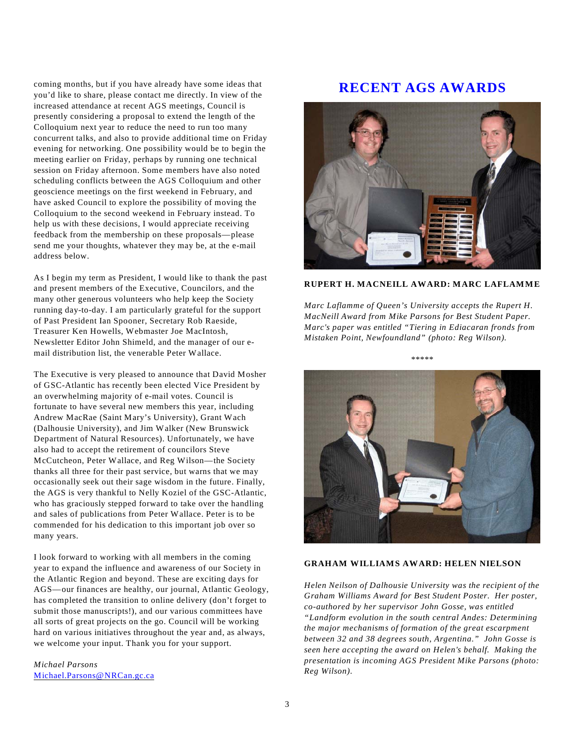coming months, but if you have already have some ideas that you'd like to share, please contact me directly. In view of the increased attendance at recent AGS meetings, Council is presently considering a proposal to extend the length of the Colloquium next year to reduce the need to run too many concurrent talks, and also to provide additional time on Friday evening for networking. One possibility would be to begin the meeting earlier on Friday, perhaps by running one technical session on Friday afternoon. Some members have also noted scheduling conflicts between the AGS Colloquium and other geoscience meetings on the first weekend in February, and have asked Council to explore the possibility of moving the Colloquium to the second weekend in February instead. To help us with these decisions, I would appreciate receiving feedback from the membership on these proposals—please send me your thoughts, whatever they may be, at the e-mail address below.

As I begin my term as President, I would like to thank the past and present members of the Executive, Councilors, and the many other generous volunteers who help keep the Society running day-to-day. I am particularly grateful for the support of Past President Ian Spooner, Secretary Rob Raeside, Treasurer Ken Howells, Webmaster Joe MacIntosh, Newsletter Editor John Shimeld, and the manager of our email distribution list, the venerable Peter Wallace.

The Executive is very pleased to announce that David Mosher of GSC-Atlantic has recently been elected Vice President by an overwhelming majority of e-mail votes. Council is fortunate to have several new members this year, including Andrew MacRae (Saint Mary's University), Grant Wach (Dalhousie University), and Jim Walker (New Brunswick Department of Natural Resources). Unfortunately, we have also had to accept the retirement of councilors Steve McCutcheon, Peter Wallace, and Reg Wilson—the Society thanks all three for their past service, but warns that we may occasionally seek out their sage wisdom in the future. Finally, the AGS is very thankful to Nelly Koziel of the GSC-Atlantic, who has graciously stepped forward to take over the handling and sales of publications from Peter Wallace. Peter is to be commended for his dedication to this important job over so many years.

I look forward to working with all members in the coming year to expand the influence and awareness of our Society in the Atlantic Region and beyond. These are exciting days for AGS—our finances are healthy, our journal, Atlantic Geology, has completed the transition to online delivery (don't forget to submit those manuscripts!), and our various committees have all sorts of great projects on the go. Council will be working hard on various initiatives throughout the year and, as always, we welcome your input. Thank you for your support.

*Michael Parsons* [Michael.Parsons@NRCan.gc.ca](mailto:Michael.Parsons@NRCan.gc.ca)

# **RECENT AGS AWARDS**



```
RUPERT H. MACNEILL AWARD: MARC LAFLAMME
```
*Marc Laflamme of Queen's University accepts the Rupert H. MacNeill Award from Mike Parsons for Best Student Paper. Marc's paper was entitled "Tiering in Ediacaran fronds from Mistaken Point, Newfoundland" (photo: Reg Wilson).*

\*\*\*\*\*



### **GRAHAM WILLIAMS AWARD: HELEN NIELSON**

*Helen Neilson of Dalhousie University was the recipient of the Graham Williams Award for Best Student Poster. Her poster, co-authored by her supervisor John Gosse, was entitled "Landform evolution in the south central Andes: Determining the major mechanisms of formation of the great escarpment between 32 and 38 degrees south, Argentina." John Gosse is seen here accepting the award on Helen's behalf. Making the presentation is incoming AGS President Mike Parsons (photo: Reg Wilson)*.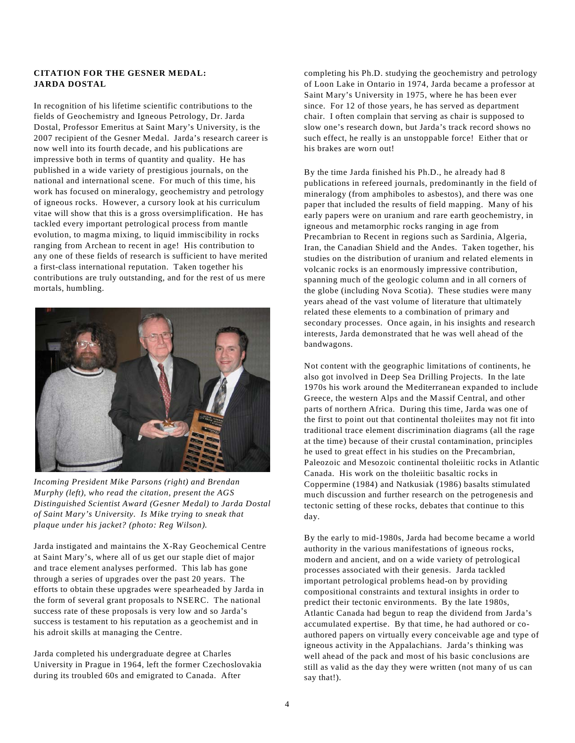## **CITATION FOR THE GESNER MEDAL: JARDA DOSTAL**

In recognition of his lifetime scientific contributions to the fields of Geochemistry and Igneous Petrology, Dr. Jarda Dostal, Professor Emeritus at Saint Mary's University, is the 2007 recipient of the Gesner Medal. Jarda's research career is now well into its fourth decade, and his publications are impressive both in terms of quantity and quality. He has published in a wide variety of prestigious journals, on the national and international scene. For much of this time, his work has focused on mineralogy, geochemistry and petrology of igneous rocks. However, a cursory look at his curriculum vitae will show that this is a gross oversimplification. He has tackled every important petrological process from mantle evolution, to magma mixing, to liquid immiscibility in rocks ranging from Archean to recent in age! His contribution to any one of these fields of research is sufficient to have merited a first-class international reputation. Taken together his contributions are truly outstanding, and for the rest of us mere mortals, humbling.



*Incoming President Mike Parsons (right) and Brendan Murphy (left), who read the citation, present the AGS Distinguished Scientist Award (Gesner Medal) to Jarda Dostal of Saint Mary's University. Is Mike trying to sneak that plaque under his jacket? (photo: Reg Wilson).*

Jarda instigated and maintains the X-Ray Geochemical Centre at Saint Mary's, where all of us get our staple diet of major and trace element analyses performed. This lab has gone through a series of upgrades over the past 20 years. The efforts to obtain these upgrades were spearheaded by Jarda in the form of several grant proposals to NSERC. The national success rate of these proposals is very low and so Jarda's success is testament to his reputation as a geochemist and in his adroit skills at managing the Centre.

Jarda completed his undergraduate degree at Charles University in Prague in 1964, left the former Czechoslovakia during its troubled 60s and emigrated to Canada. After

completing his Ph.D. studying the geochemistry and petrology of Loon Lake in Ontario in 1974, Jarda became a professor at Saint Mary's University in 1975, where he has been ever since. For 12 of those years, he has served as department chair. I often complain that serving as chair is supposed to slow one's research down, but Jarda's track record shows no such effect, he really is an unstoppable force! Either that or his brakes are worn out!

By the time Jarda finished his Ph.D., he already had 8 publications in refereed journals, predominantly in the field of mineralogy (from amphiboles to asbestos), and there was one paper that included the results of field mapping. Many of his early papers were on uranium and rare earth geochemistry, in igneous and metamorphic rocks ranging in age from Precambrian to Recent in regions such as Sardinia, Algeria, Iran, the Canadian Shield and the Andes. Taken together, his studies on the distribution of uranium and related elements in volcanic rocks is an enormously impressive contribution, spanning much of the geologic column and in all corners of the globe (including Nova Scotia). These studies were many years ahead of the vast volume of literature that ultimately related these elements to a combination of primary and secondary processes. Once again, in his insights and research interests, Jarda demonstrated that he was well ahead of the bandwagons.

Not content with the geographic limitations of continents, he also got involved in Deep Sea Drilling Projects. In the late 1970s his work around the Mediterranean expanded to include Greece, the western Alps and the Massif Central, and other parts of northern Africa. During this time, Jarda was one of the first to point out that continental tholeiites may not fit into traditional trace element discrimination diagrams (all the rage at the time) because of their crustal contamination, principles he used to great effect in his studies on the Precambrian, Paleozoic and Mesozoic continental tholeiitic rocks in Atlantic Canada. His work on the tholeiitic basaltic rocks in Coppermine (1984) and Natkusiak (1986) basalts stimulated much discussion and further research on the petrogenesis and tectonic setting of these rocks, debates that continue to this day.

By the early to mid-1980s, Jarda had become became a world authority in the various manifestations of igneous rocks, modern and ancient, and on a wide variety of petrological processes associated with their genesis. Jarda tackled important petrological problems head-on by providing compositional constraints and textural insights in order to predict their tectonic environments. By the late 1980s, Atlantic Canada had begun to reap the dividend from Jarda's accumulated expertise. By that time, he had authored or coauthored papers on virtually every conceivable age and type of igneous activity in the Appalachians. Jarda's thinking was well ahead of the pack and most of his basic conclusions are still as valid as the day they were written (not many of us can say that!).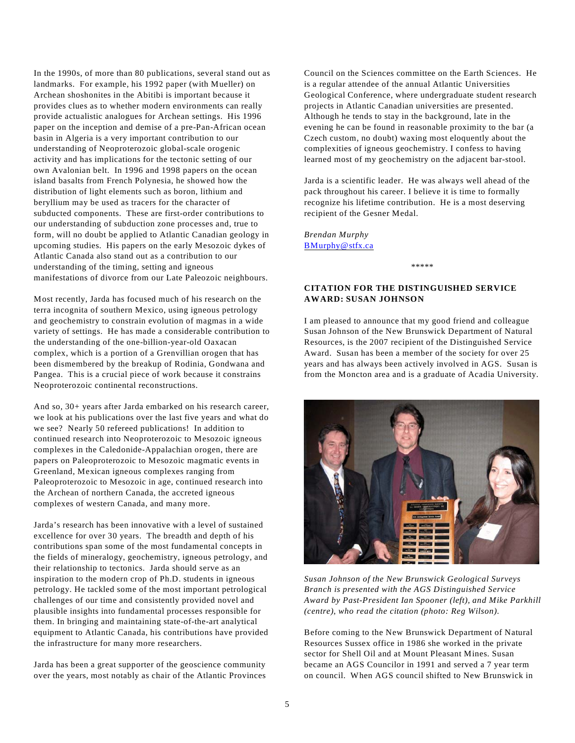In the 1990s, of more than 80 publications, several stand out as landmarks. For example, his 1992 paper (with Mueller) on Archean shoshonites in the Abitibi is important because it provides clues as to whether modern environments can really provide actualistic analogues for Archean settings. His 1996 paper on the inception and demise of a pre-Pan-African ocean basin in Algeria is a very important contribution to our understanding of Neoproterozoic global-scale orogenic activity and has implications for the tectonic setting of our own Avalonian belt. In 1996 and 1998 papers on the ocean island basalts from French Polynesia, he showed how the distribution of light elements such as boron, lithium and beryllium may be used as tracers for the character of subducted components. These are first-order contributions to our understanding of subduction zone processes and, true to form, will no doubt be applied to Atlantic Canadian geology in upcoming studies. His papers on the early Mesozoic dykes of Atlantic Canada also stand out as a contribution to our understanding of the timing, setting and igneous manifestations of divorce from our Late Paleozoic neighbours.

Most recently, Jarda has focused much of his research on the terra incognita of southern Mexico, using igneous petrology and geochemistry to constrain evolution of magmas in a wide variety of settings. He has made a considerable contribution to the understanding of the one-billion-year-old Oaxacan complex, which is a portion of a Grenvillian orogen that has been dismembered by the breakup of Rodinia, Gondwana and Pangea. This is a crucial piece of work because it constrains Neoproterozoic continental reconstructions.

And so, 30+ years after Jarda embarked on his research career, we look at his publications over the last five years and what do we see? Nearly 50 refereed publications! In addition to continued research into Neoproterozoic to Mesozoic igneous complexes in the Caledonide-Appalachian orogen, there are papers on Paleoproterozoic to Mesozoic magmatic events in Greenland, Mexican igneous complexes ranging from Paleoproterozoic to Mesozoic in age, continued research into the Archean of northern Canada, the accreted igneous complexes of western Canada, and many more.

Jarda's research has been innovative with a level of sustained excellence for over 30 years. The breadth and depth of his contributions span some of the most fundamental concepts in the fields of mineralogy, geochemistry, igneous petrology, and their relationship to tectonics. Jarda should serve as an inspiration to the modern crop of Ph.D. students in igneous petrology. He tackled some of the most important petrological challenges of our time and consistently provided novel and plausible insights into fundamental processes responsible for them. In bringing and maintaining state-of-the-art analytical equipment to Atlantic Canada, his contributions have provided the infrastructure for many more researchers.

Jarda has been a great supporter of the geoscience community over the years, most notably as chair of the Atlantic Provinces Council on the Sciences committee on the Earth Sciences. He is a regular attendee of the annual Atlantic Universities Geological Conference, where undergraduate student research projects in Atlantic Canadian universities are presented. Although he tends to stay in the background, late in the evening he can be found in reasonable proximity to the bar (a Czech custom, no doubt) waxing most eloquently about the complexities of igneous geochemistry. I confess to having learned most of my geochemistry on the adjacent bar-stool.

Jarda is a scientific leader. He was always well ahead of the pack throughout his career. I believe it is time to formally recognize his lifetime contribution. He is a most deserving recipient of the Gesner Medal.

*Brendan Murphy* [BMurphy@stfx.ca](mailto:BMurphy@stfx.ca)

\*\*\*\*\*

## **CITATION FOR THE DISTINGUISHED SERVICE AWARD: SUSAN JOHNSON**

I am pleased to announce that my good friend and colleague Susan Johnson of the New Brunswick Department of Natural Resources, is the 2007 recipient of the Distinguished Service Award. Susan has been a member of the society for over 25 years and has always been actively involved in AGS. Susan is from the Moncton area and is a graduate of Acadia University.



*Susan Johnson of the New Brunswick Geological Surveys Branch is presented with the AGS Distinguished Service Award by Past-President Ian Spooner (left), and Mike Parkhill (centre), who read the citation (photo: Reg Wilson)*.

Before coming to the New Brunswick Department of Natural Resources Sussex office in 1986 she worked in the private sector for Shell Oil and at Mount Pleasant Mines. Susan became an AGS Councilor in 1991 and served a 7 year term on council. When AGS council shifted to New Brunswick in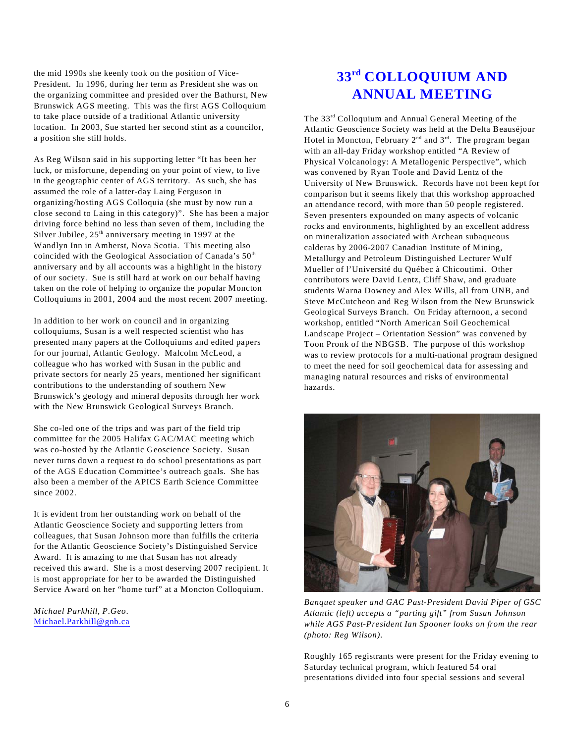the mid 1990s she keenly took on the position of Vice-President. In 1996, during her term as President she was on the organizing committee and presided over the Bathurst, New Brunswick AGS meeting. This was the first AGS Colloquium to take place outside of a traditional Atlantic university location. In 2003, Sue started her second stint as a councilor, a position she still holds.

As Reg Wilson said in his supporting letter "It has been her luck, or misfortune, depending on your point of view, to live in the geographic center of AGS territory. As such, she has assumed the role of a latter-day Laing Ferguson in organizing/hosting AGS Colloquia (she must by now run a close second to Laing in this category)". She has been a major driving force behind no less than seven of them, including the Silver Jubilee,  $25<sup>th</sup>$  anniversary meeting in 1997 at the Wandlyn Inn in Amherst, Nova Scotia. This meeting also coincided with the Geological Association of Canada's 50<sup>th</sup> anniversary and by all accounts was a highlight in the history of our society. Sue is still hard at work on our behalf having taken on the role of helping to organize the popular Moncton Colloquiums in 2001, 2004 and the most recent 2007 meeting.

In addition to her work on council and in organizing colloquiums, Susan is a well respected scientist who has presented many papers at the Colloquiums and edited papers for our journal, Atlantic Geology. Malcolm McLeod, a colleague who has worked with Susan in the public and private sectors for nearly 25 years, mentioned her significant contributions to the understanding of southern New Brunswick's geology and mineral deposits through her work with the New Brunswick Geological Surveys Branch.

She co-led one of the trips and was part of the field trip committee for the 2005 Halifax GAC/MAC meeting which was co-hosted by the Atlantic Geoscience Society. Susan never turns down a request to do school presentations as part of the AGS Education Committee's outreach goals. She has also been a member of the APICS Earth Science Committee since 2002.

It is evident from her outstanding work on behalf of the Atlantic Geoscience Society and supporting letters from colleagues, that Susan Johnson more than fulfills the criteria for the Atlantic Geoscience Society's Distinguished Service Award. It is amazing to me that Susan has not already received this award. She is a most deserving 2007 recipient. It is most appropriate for her to be awarded the Distinguished Service Award on her "home turf" at a Moncton Colloquium.

*Michael Parkhill, P.Geo*. Michael.Parkhill@gnb.ca

# $33<sup>rd</sup>$  **COLLOQUIUM AND ANNUAL MEETING**

The 33<sup>rd</sup> Colloquium and Annual General Meeting of the Atlantic Geoscience Society was held at the Delta Beauséjour Hotel in Moncton, February  $2<sup>nd</sup>$  and  $3<sup>rd</sup>$ . The program began with an all-day Friday workshop entitled "A Review of Physical Volcanology: A Metallogenic Perspective", which was convened by Ryan Toole and David Lentz of the University of New Brunswick. Records have not been kept for comparison but it seems likely that this workshop approached an attendance record, with more than 50 people registered. Seven presenters expounded on many aspects of volcanic rocks and environments, highlighted by an excellent address on mineralization associated with Archean subaqueous calderas by 2006-2007 Canadian Institute of Mining, Metallurgy and Petroleum Distinguished Lecturer Wulf Mueller of l'Université du Québec à Chicoutimi. Other contributors were David Lentz, Cliff Shaw, and graduate students Warna Downey and Alex Wills, all from UNB, and Steve McCutcheon and Reg Wilson from the New Brunswick Geological Surveys Branch. On Friday afternoon, a second workshop, entitled "North American Soil Geochemical Landscape Project – Orientation Session" was convened by Toon Pronk of the NBGSB. The purpose of this workshop was to review protocols for a multi-national program designed to meet the need for soil geochemical data for assessing and managing natural resources and risks of environmental hazards.



*Banquet speaker and GAC Past-President David Piper of GSC Atlantic (left) accepts a "parting gift" from Susan Johnson while AGS Past-President Ian Spooner looks on from the rear (photo: Reg Wilson)*.

Roughly 165 registrants were present for the Friday evening to Saturday technical program, which featured 54 oral presentations divided into four special sessions and several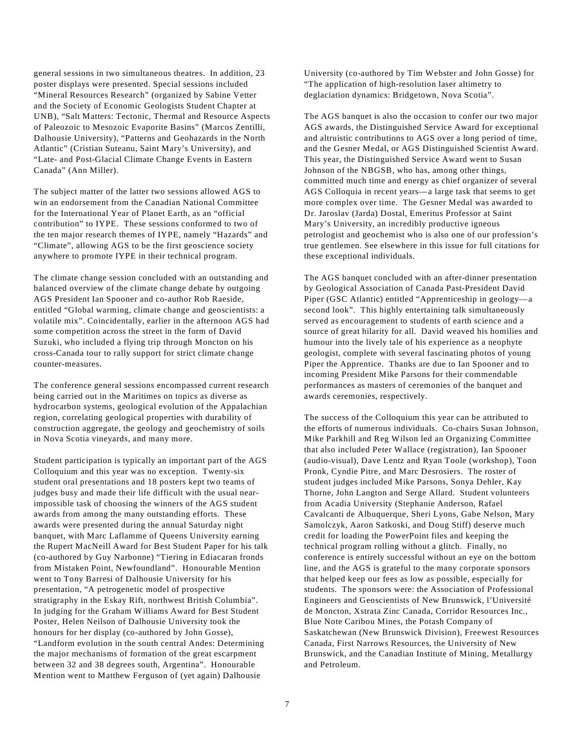general sessions in two simultaneous theatres. In addition, 23 poster displays were presented. Special sessions included "Mineral Resources Research" (organized by Sabine Vetter and the Society of Economic Geologists Student Chapter at UNB), "Salt Matters: Tectonic, Thermal and Resource Aspects of Paleozoic to Mesozoic Evaporite Basins" (Marcos Zentilli, Dalhousie University), "Patterns and Geohazards in the North Atlantic" (Cristian Suteanu, Saint Mary's University), and "Late- and Post-Glacial Climate Change Events in Eastern Canada" (Ann Miller).

The subject matter of the latter two sessions allowed AGS to win an endorsement from the Canadian National Committee for the International Year of Planet Earth, as an "official contribution" to IYPE. These sessions conformed to two of the ten major research themes of IYPE, namely "Hazards" and "Climate", allowing AGS to be the first geoscience society anywhere to promote IYPE in their technical program.

The climate change session concluded with an outstanding and balanced overview of the climate change debate by outgoing AGS President Ian Spooner and co-author Rob Raeside, entitled "Global warming, climate change and geoscientists: a volatile mix". Coincidentally, earlier in the afternoon AGS had some competition across the street in the form of David Suzuki, who included a flying trip through Moncton on his cross-Canada tour to rally support for strict climate change counter-measures.

The conference general sessions encompassed current research being carried out in the Maritimes on topics as diverse as hydrocarbon systems, geological evolution of the Appalachian region, correlating geological properties with durability of construction aggregate, the geology and geochemistry of soils in Nova Scotia vineyards, and many more.

Student participation is typically an important part of the AGS Colloquium and this year was no exception. Twenty-six student oral presentations and 18 posters kept two teams of judges busy and made their life difficult with the usual nearimpossible task of choosing the winners of the AGS student awards from among the many outstanding efforts. These awards were presented during the annual Saturday night banquet, with Marc Laflamme of Queens University earning the Rupert MacNeill Award for Best Student Paper for his talk (co-authored by Guy Narbonne) "Tiering in Ediacaran fronds from Mistaken Point, Newfoundland". Honourable Mention went to Tony Barresi of Dalhousie University for his presentation, "A petrogenetic model of prospective stratigraphy in the Eskay Rift, northwest British Columbia". In judging for the Graham Williams Award for Best Student Poster, Helen Neilson of Dalhousie University took the honours for her display (co-authored by John Gosse), "Landform evolution in the south central Andes: Determining the major mechanisms of formation of the great escarpment between 32 and 38 degrees south, Argentina". Honourable Mention went to Matthew Ferguson of (yet again) Dalhousie

University (co-authored by Tim Webster and John Gosse) for "The application of high-resolution laser altimetry to deglaciation dynamics: Bridgetown, Nova Scotia".

The AGS banquet is also the occasion to confer our two major AGS awards, the Distinguished Service Award for exceptional and altruistic contributions to AGS over a long period of time, and the Gesner Medal, or AGS Distinguished Scientist Award. This year, the Distinguished Service Award went to Susan Johnson of the NBGSB, who has, among other things, committed much time and energy as chief organizer of several AGS Colloquia in recent years—a large task that seems to get more complex over time. The Gesner Medal was awarded to Dr. Jaroslav (Jarda) Dostal, Emeritus Professor at Saint Mary's University, an incredibly productive igneous petrologist and geochemist who is also one of our profession's true gentlemen. See elsewhere in this issue for full citations for these exceptional individuals.

The AGS banquet concluded with an after-dinner presentation by Geological Association of Canada Past-President David Piper (GSC Atlantic) entitled "Apprenticeship in geology—a second look". This highly entertaining talk simultaneously served as encouragement to students of earth science and a source of great hilarity for all. David weaved his homilies and humour into the lively tale of his experience as a neophyte geologist, complete with several fascinating photos of young Piper the Apprentice. Thanks are due to Ian Spooner and to incoming President Mike Parsons for their commendable performances as masters of ceremonies of the banquet and awards ceremonies, respectively.

The success of the Colloquium this year can be attributed to the efforts of numerous individuals. Co-chairs Susan Johnson, Mike Parkhill and Reg Wilson led an Organizing Committee that also included Peter Wallace (registration), Ian Spooner (audio-visual), Dave Lentz and Ryan Toole (workshop), Toon Pronk, Cyndie Pitre, and Marc Desrosiers. The roster of student judges included Mike Parsons, Sonya Dehler, Kay Thorne, John Langton and Serge Allard. Student volunteers from Acadia University (Stephanie Anderson, Rafael Cavalcanti de Albuquerque, Sheri Lyons, Gabe Nelson, Mary Samolczyk, Aaron Satkoski, and Doug Stiff) deserve much credit for loading the PowerPoint files and keeping the technical program rolling without a glitch. Finally, no conference is entirely successful without an eye on the bottom line, and the AGS is grateful to the many corporate sponsors that helped keep our fees as low as possible, especially for students. The sponsors were: the Association of Professional Engineers and Geoscientists of New Brunswick, l'Université de Moncton, Xstrata Zinc Canada, Corridor Resources Inc., Blue Note Caribou Mines, the Potash Company of Saskatchewan (New Brunswick Division), Freewest Resources Canada, First Narrows Resources, the University of New Brunswick, and the Canadian Institute of Mining, Metallurgy and Petroleum.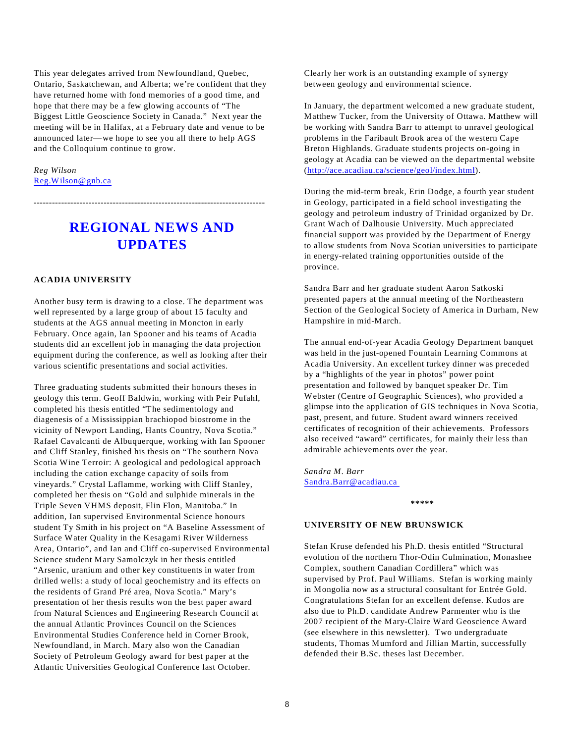This year delegates arrived from Newfoundland, Quebec, Ontario, Saskatchewan, and Alberta; we're confident that they have returned home with fond memories of a good time, and hope that there may be a few glowing accounts of "The Biggest Little Geoscience Society in Canada." Next year the meeting will be in Halifax, at a February date and venue to be announced later—we hope to see you all there to help AGS and the Colloquium continue to grow.

*Reg Wilson* Reg.Wilson@gnb.ca

# **REGIONAL NEWS AND UPDATES**

----------------------------------------------------------------------------

#### **ACADIA UNIVERSITY**

Another busy term is drawing to a close. The department was well represented by a large group of about 15 faculty and students at the AGS annual meeting in Moncton in early February. Once again, Ian Spooner and his teams of Acadia students did an excellent job in managing the data projection equipment during the conference, as well as looking after their various scientific presentations and social activities.

Three graduating students submitted their honours theses in geology this term. Geoff Baldwin, working with Peir Pufahl, completed his thesis entitled "The sedimentology and diagenesis of a Mississippian brachiopod biostrome in the vicinity of Newport Landing, Hants Country, Nova Scotia." Rafael Cavalcanti de Albuquerque, working with Ian Spooner and Cliff Stanley, finished his thesis on "The southern Nova Scotia Wine Terroir: A geological and pedological approach including the cation exchange capacity of soils from vineyards." Crystal Laflamme, working with Cliff Stanley, completed her thesis on "Gold and sulphide minerals in the Triple Seven VHMS deposit, Flin Flon, Manitoba." In addition, Ian supervised Environmental Science honours student Ty Smith in his project on "A Baseline Assessment of Surface Water Quality in the Kesagami River Wilderness Area, Ontario", and Ian and Cliff co-supervised Environmental Science student Mary Samolczyk in her thesis entitled "Arsenic, uranium and other key constituents in water from drilled wells: a study of local geochemistry and its effects on the residents of Grand Pré area, Nova Scotia." Mary's presentation of her thesis results won the best paper award from Natural Sciences and Engineering Research Council at the annual Atlantic Provinces Council on the Sciences Environmental Studies Conference held in Corner Brook, Newfoundland, in March. Mary also won the Canadian Society of Petroleum Geology award for best paper at the Atlantic Universities Geological Conference last October.

Clearly her work is an outstanding example of synergy between geology and environmental science.

In January, the department welcomed a new graduate student, Matthew Tucker, from the University of Ottawa. Matthew will be working with Sandra Barr to attempt to unravel geological problems in the Faribault Brook area of the western Cape Breton Highlands. Graduate students projects on-going in geology at Acadia can be viewed on the departmental website ([http://ace.acadiau.ca/science/geol/index.html](http://(http://ace.acadiau.ca/science/geol/index.html)).

During the mid-term break, Erin Dodge, a fourth year student in Geology, participated in a field school investigating the geology and petroleum industry of Trinidad organized by Dr. Grant Wach of Dalhousie University. Much appreciated financial support was provided by the Department of Energy to allow students from Nova Scotian universities to participate in energy-related training opportunities outside of the province.

Sandra Barr and her graduate student Aaron Satkoski presented papers at the annual meeting of the Northeastern Section of the Geological Society of America in Durham, New Hampshire in mid-March.

The annual end-of-year Acadia Geology Department banquet was held in the just-opened Fountain Learning Commons at Acadia University. An excellent turkey dinner was preceded by a "highlights of the year in photos" power point presentation and followed by banquet speaker Dr. Tim Webster (Centre of Geographic Sciences), who provided a glimpse into the application of GIS techniques in Nova Scotia, past, present, and future. Student award winners received certificates of recognition of their achievements. Professors also received "award" certificates, for mainly their less than admirable achievements over the year.

*Sandra M. Barr* Sandra.Barr@acadiau.ca

**\*\*\*\*\***

#### **UNIVERSITY OF NEW BRUNSWICK**

Stefan Kruse defended his Ph.D. thesis entitled "Structural evolution of the northern Thor-Odin Culmination, Monashee Complex, southern Canadian Cordillera" which was supervised by Prof. Paul Williams. Stefan is working mainly in Mongolia now as a structural consultant for Entrée Gold. Congratulations Stefan for an excellent defense. Kudos are also due to Ph.D. candidate Andrew Parmenter who is the 2007 recipient of the Mary-Claire Ward Geoscience Award (see elsewhere in this newsletter). Two undergraduate students, Thomas Mumford and Jillian Martin, successfully defended their B.Sc. theses last December.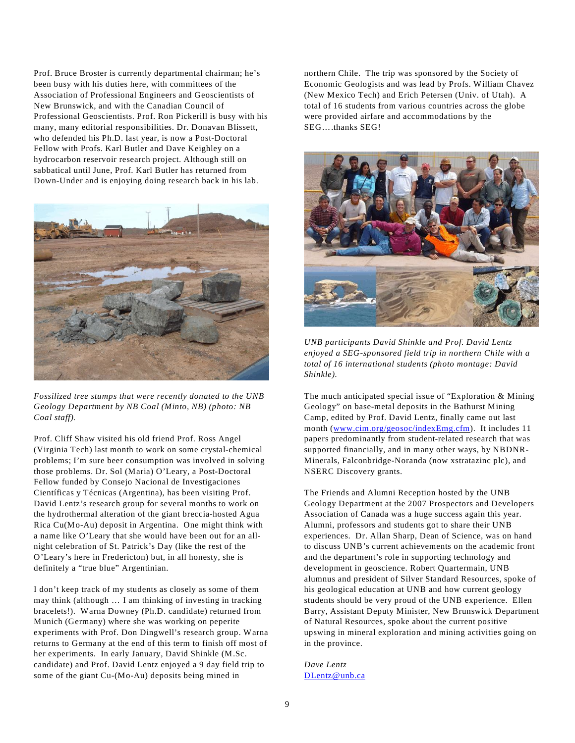Prof. Bruce Broster is currently departmental chairman; he's been busy with his duties here, with committees of the Association of Professional Engineers and Geoscientists of New Brunswick, and with the Canadian Council of Professional Geoscientists. Prof. Ron Pickerill is busy with his many, many editorial responsibilities. Dr. Donavan Blissett, who defended his Ph.D. last year, is now a Post-Doctoral Fellow with Profs. Karl Butler and Dave Keighley on a hydrocarbon reservoir research project. Although still on sabbatical until June, Prof. Karl Butler has returned from Down-Under and is enjoying doing research back in his lab.



*Fossilized tree stumps that were recently donated to the UNB Geology Department by NB Coal (Minto, NB) (photo: NB Coal staff).*

Prof. Cliff Shaw visited his old friend Prof. Ross Angel (Virginia Tech) last month to work on some crystal-chemical problems; I'm sure beer consumption was involved in solving those problems. Dr. Sol (Maria) O'Leary, a Post-Doctoral Fellow funded by Consejo Nacional de Investigaciones Científicas y Técnicas (Argentina), has been visiting Prof. David Lentz's research group for several months to work on the hydrothermal alteration of the giant breccia-hosted Agua Rica Cu(Mo-Au) deposit in Argentina. One might think with a name like O'Leary that she would have been out for an allnight celebration of St. Patrick's Day (like the rest of the O'Leary's here in Fredericton) but, in all honesty, she is definitely a "true blue" Argentinian.

I don't keep track of my students as closely as some of them may think (although … I am thinking of investing in tracking bracelets!). Warna Downey (Ph.D. candidate) returned from Munich (Germany) where she was working on peperite experiments with Prof. Don Dingwell's research group. Warna returns to Germany at the end of this term to finish off most of her experiments. In early January, David Shinkle (M.Sc. candidate) and Prof. David Lentz enjoyed a 9 day field trip to some of the giant Cu-(Mo-Au) deposits being mined in

northern Chile. The trip was sponsored by the Society of Economic Geologists and was lead by Profs. William Chavez (New Mexico Tech) and Erich Petersen (Univ. of Utah). A total of 16 students from various countries across the globe were provided airfare and accommodations by the SEG….thanks SEG!



*UNB participants David Shinkle and Prof. David Lentz enjoyed a SEG-sponsored field trip in northern Chile with a total of 16 international students (photo montage: David Shinkle).*

The much anticipated special issue of "Exploration & Mining Geology" on base-metal deposits in the Bathurst Mining Camp, edited by Prof. David Lentz, finally came out last month ([www.cim.org/geosoc/indexEmg.cfm](http://www.cim.org/geosoc/indexEmg.cfm)). It includes 11 papers predominantly from student-related research that was supported financially, and in many other ways, by NBDNR-Minerals, Falconbridge-Noranda (now xstratazinc plc), and NSERC Discovery grants.

The Friends and Alumni Reception hosted by the UNB Geology Department at the 2007 Prospectors and Developers Association of Canada was a huge success again this year. Alumni, professors and students got to share their UNB experiences. Dr. Allan Sharp, Dean of Science, was on hand to discuss UNB's current achievements on the academic front and the department's role in supporting technology and development in geoscience. Robert Quartermain, UNB alumnus and president of Silver Standard Resources, spoke of his geological education at UNB and how current geology students should be very proud of the UNB experience. Ellen Barry, Assistant Deputy Minister, New Brunswick Department of Natural Resources, spoke about the current positive upswing in mineral exploration and mining activities going on in the province.

*Dave Lentz* DLentz@unb.ca